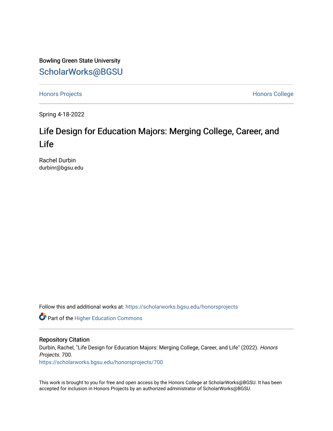Bowling Green State University [ScholarWorks@BGSU](https://scholarworks.bgsu.edu/) 

[Honors Projects](https://scholarworks.bgsu.edu/honorsprojects) **Honors** College

Spring 4-18-2022

# Life Design for Education Majors: Merging College, Career, and Life

Rachel Durbin durbinr@bgsu.edu

Follow this and additional works at: [https://scholarworks.bgsu.edu/honorsprojects](https://scholarworks.bgsu.edu/honorsprojects?utm_source=scholarworks.bgsu.edu%2Fhonorsprojects%2F700&utm_medium=PDF&utm_campaign=PDFCoverPages) 

Part of the [Higher Education Commons](http://network.bepress.com/hgg/discipline/1245?utm_source=scholarworks.bgsu.edu%2Fhonorsprojects%2F700&utm_medium=PDF&utm_campaign=PDFCoverPages) 

## Repository Citation

Durbin, Rachel, "Life Design for Education Majors: Merging College, Career, and Life" (2022). Honors Projects. 700.

[https://scholarworks.bgsu.edu/honorsprojects/700](https://scholarworks.bgsu.edu/honorsprojects/700?utm_source=scholarworks.bgsu.edu%2Fhonorsprojects%2F700&utm_medium=PDF&utm_campaign=PDFCoverPages) 

This work is brought to you for free and open access by the Honors College at ScholarWorks@BGSU. It has been accepted for inclusion in Honors Projects by an authorized administrator of ScholarWorks@BGSU.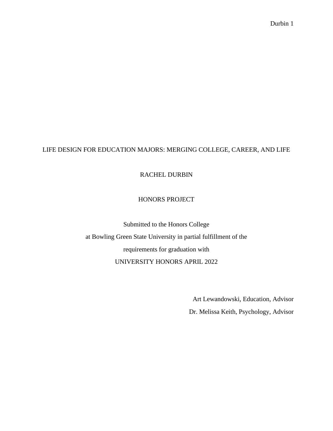# LIFE DESIGN FOR EDUCATION MAJORS: MERGING COLLEGE, CAREER, AND LIFE

# RACHEL DURBIN

# HONORS PROJECT

Submitted to the Honors College at Bowling Green State University in partial fulfillment of the requirements for graduation with UNIVERSITY HONORS APRIL 2022

Art Lewandowski, Education, Advisor

Dr. Melissa Keith, Psychology, Advisor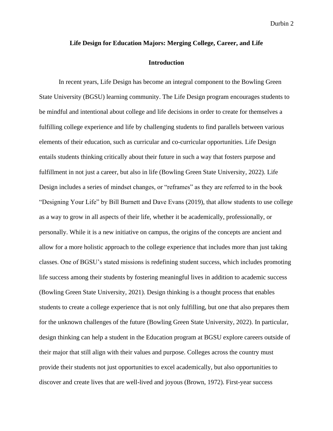#### **Life Design for Education Majors: Merging College, Career, and Life**

#### **Introduction**

In recent years, Life Design has become an integral component to the Bowling Green State University (BGSU) learning community. The Life Design program encourages students to be mindful and intentional about college and life decisions in order to create for themselves a fulfilling college experience and life by challenging students to find parallels between various elements of their education, such as curricular and co-curricular opportunities. Life Design entails students thinking critically about their future in such a way that fosters purpose and fulfillment in not just a career, but also in life (Bowling Green State University, 2022). Life Design includes a series of mindset changes, or "reframes" as they are referred to in the book "Designing Your Life" by Bill Burnett and Dave Evans (2019), that allow students to use college as a way to grow in all aspects of their life, whether it be academically, professionally, or personally. While it is a new initiative on campus, the origins of the concepts are ancient and allow for a more holistic approach to the college experience that includes more than just taking classes. One of BGSU's stated missions is redefining student success, which includes promoting life success among their students by fostering meaningful lives in addition to academic success (Bowling Green State University, 2021). Design thinking is a thought process that enables students to create a college experience that is not only fulfilling, but one that also prepares them for the unknown challenges of the future (Bowling Green State University, 2022). In particular, design thinking can help a student in the Education program at BGSU explore careers outside of their major that still align with their values and purpose. Colleges across the country must provide their students not just opportunities to excel academically, but also opportunities to discover and create lives that are well-lived and joyous (Brown, 1972). First-year success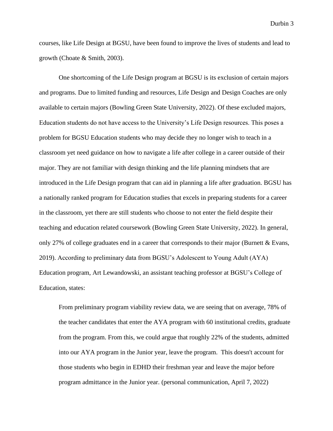courses, like Life Design at BGSU, have been found to improve the lives of students and lead to growth (Choate & Smith, 2003).

One shortcoming of the Life Design program at BGSU is its exclusion of certain majors and programs. Due to limited funding and resources, Life Design and Design Coaches are only available to certain majors (Bowling Green State University, 2022). Of these excluded majors, Education students do not have access to the University's Life Design resources. This poses a problem for BGSU Education students who may decide they no longer wish to teach in a classroom yet need guidance on how to navigate a life after college in a career outside of their major. They are not familiar with design thinking and the life planning mindsets that are introduced in the Life Design program that can aid in planning a life after graduation. BGSU has a nationally ranked program for Education studies that excels in preparing students for a career in the classroom, yet there are still students who choose to not enter the field despite their teaching and education related coursework (Bowling Green State University, 2022). In general, only 27% of college graduates end in a career that corresponds to their major (Burnett & Evans, 2019). According to preliminary data from BGSU's Adolescent to Young Adult (AYA) Education program, Art Lewandowski, an assistant teaching professor at BGSU's College of Education, states:

From preliminary program viability review data, we are seeing that on average, 78% of the teacher candidates that enter the AYA program with 60 institutional credits, graduate from the program. From this, we could argue that roughly 22% of the students, admitted into our AYA program in the Junior year, leave the program. This doesn't account for those students who begin in EDHD their freshman year and leave the major before program admittance in the Junior year. (personal communication, April 7, 2022)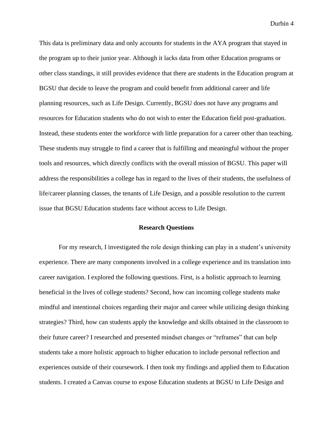This data is preliminary data and only accounts for students in the AYA program that stayed in the program up to their junior year. Although it lacks data from other Education programs or other class standings, it still provides evidence that there are students in the Education program at BGSU that decide to leave the program and could benefit from additional career and life planning resources, such as Life Design. Currently, BGSU does not have any programs and resources for Education students who do not wish to enter the Education field post-graduation. Instead, these students enter the workforce with little preparation for a career other than teaching. These students may struggle to find a career that is fulfilling and meaningful without the proper tools and resources, which directly conflicts with the overall mission of BGSU. This paper will address the responsibilities a college has in regard to the lives of their students, the usefulness of life/career planning classes, the tenants of Life Design, and a possible resolution to the current issue that BGSU Education students face without access to Life Design.

## **Research Questions**

For my research, I investigated the role design thinking can play in a student's university experience. There are many components involved in a college experience and its translation into career navigation. I explored the following questions. First, is a holistic approach to learning beneficial in the lives of college students? Second, how can incoming college students make mindful and intentional choices regarding their major and career while utilizing design thinking strategies? Third, how can students apply the knowledge and skills obtained in the classroom to their future career? I researched and presented mindset changes or "reframes" that can help students take a more holistic approach to higher education to include personal reflection and experiences outside of their coursework. I then took my findings and applied them to Education students. I created a Canvas course to expose Education students at BGSU to Life Design and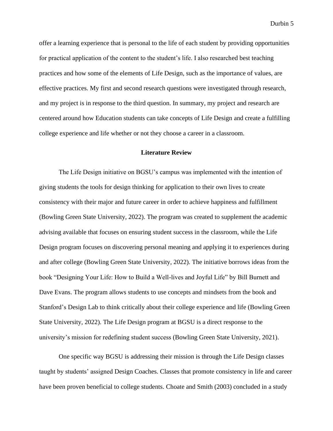offer a learning experience that is personal to the life of each student by providing opportunities for practical application of the content to the student's life. I also researched best teaching practices and how some of the elements of Life Design, such as the importance of values, are effective practices. My first and second research questions were investigated through research, and my project is in response to the third question. In summary, my project and research are centered around how Education students can take concepts of Life Design and create a fulfilling college experience and life whether or not they choose a career in a classroom.

## **Literature Review**

The Life Design initiative on BGSU's campus was implemented with the intention of giving students the tools for design thinking for application to their own lives to create consistency with their major and future career in order to achieve happiness and fulfillment (Bowling Green State University, 2022). The program was created to supplement the academic advising available that focuses on ensuring student success in the classroom, while the Life Design program focuses on discovering personal meaning and applying it to experiences during and after college (Bowling Green State University, 2022). The initiative borrows ideas from the book "Designing Your Life: How to Build a Well-lives and Joyful Life" by Bill Burnett and Dave Evans. The program allows students to use concepts and mindsets from the book and Stanford's Design Lab to think critically about their college experience and life (Bowling Green State University, 2022). The Life Design program at BGSU is a direct response to the university's mission for redefining student success (Bowling Green State University, 2021).

One specific way BGSU is addressing their mission is through the Life Design classes taught by students' assigned Design Coaches. Classes that promote consistency in life and career have been proven beneficial to college students. Choate and Smith (2003) concluded in a study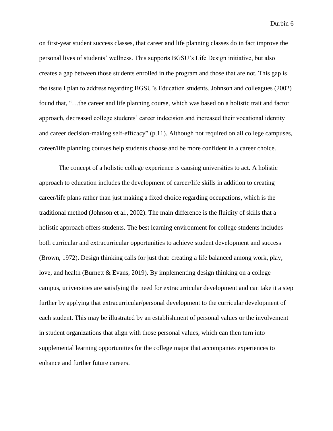on first-year student success classes, that career and life planning classes do in fact improve the personal lives of students' wellness. This supports BGSU's Life Design initiative, but also creates a gap between those students enrolled in the program and those that are not. This gap is the issue I plan to address regarding BGSU's Education students. Johnson and colleagues (2002) found that, "…the career and life planning course, which was based on a holistic trait and factor approach, decreased college students' career indecision and increased their vocational identity and career decision-making self-efficacy" (p.11). Although not required on all college campuses, career/life planning courses help students choose and be more confident in a career choice.

The concept of a holistic college experience is causing universities to act. A holistic approach to education includes the development of career/life skills in addition to creating career/life plans rather than just making a fixed choice regarding occupations, which is the traditional method (Johnson et al., 2002). The main difference is the fluidity of skills that a holistic approach offers students. The best learning environment for college students includes both curricular and extracurricular opportunities to achieve student development and success (Brown, 1972). Design thinking calls for just that: creating a life balanced among work, play, love, and health (Burnett  $&$  Evans, 2019). By implementing design thinking on a college campus, universities are satisfying the need for extracurricular development and can take it a step further by applying that extracurricular/personal development to the curricular development of each student. This may be illustrated by an establishment of personal values or the involvement in student organizations that align with those personal values, which can then turn into supplemental learning opportunities for the college major that accompanies experiences to enhance and further future careers.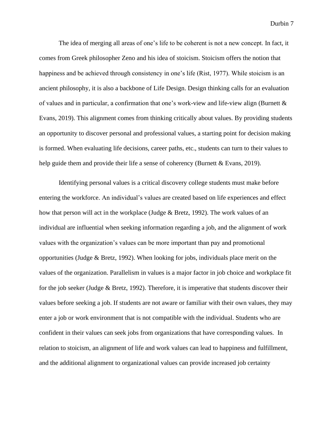The idea of merging all areas of one's life to be coherent is not a new concept. In fact, it comes from Greek philosopher Zeno and his idea of stoicism. Stoicism offers the notion that happiness and be achieved through consistency in one's life (Rist, 1977). While stoicism is an ancient philosophy, it is also a backbone of Life Design. Design thinking calls for an evaluation of values and in particular, a confirmation that one's work-view and life-view align (Burnett & Evans, 2019). This alignment comes from thinking critically about values. By providing students an opportunity to discover personal and professional values, a starting point for decision making is formed. When evaluating life decisions, career paths, etc., students can turn to their values to help guide them and provide their life a sense of coherency (Burnett & Evans, 2019).

Identifying personal values is a critical discovery college students must make before entering the workforce. An individual's values are created based on life experiences and effect how that person will act in the workplace (Judge & Bretz, 1992). The work values of an individual are influential when seeking information regarding a job, and the alignment of work values with the organization's values can be more important than pay and promotional opportunities (Judge & Bretz, 1992). When looking for jobs, individuals place merit on the values of the organization. Parallelism in values is a major factor in job choice and workplace fit for the job seeker (Judge & Bretz, 1992). Therefore, it is imperative that students discover their values before seeking a job. If students are not aware or familiar with their own values, they may enter a job or work environment that is not compatible with the individual. Students who are confident in their values can seek jobs from organizations that have corresponding values. In relation to stoicism, an alignment of life and work values can lead to happiness and fulfillment, and the additional alignment to organizational values can provide increased job certainty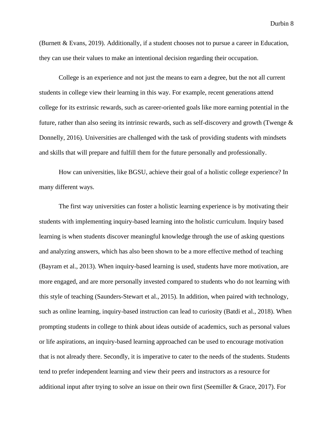(Burnett & Evans, 2019). Additionally, if a student chooses not to pursue a career in Education, they can use their values to make an intentional decision regarding their occupation.

College is an experience and not just the means to earn a degree, but the not all current students in college view their learning in this way. For example, recent generations attend college for its extrinsic rewards, such as career-oriented goals like more earning potential in the future, rather than also seeing its intrinsic rewards, such as self-discovery and growth (Twenge & Donnelly, 2016). Universities are challenged with the task of providing students with mindsets and skills that will prepare and fulfill them for the future personally and professionally.

How can universities, like BGSU, achieve their goal of a holistic college experience? In many different ways.

The first way universities can foster a holistic learning experience is by motivating their students with implementing inquiry-based learning into the holistic curriculum. Inquiry based learning is when students discover meaningful knowledge through the use of asking questions and analyzing answers, which has also been shown to be a more effective method of teaching (Bayram et al., 2013). When inquiry-based learning is used, students have more motivation, are more engaged, and are more personally invested compared to students who do not learning with this style of teaching (Saunders-Stewart et al., 2015). In addition, when paired with technology, such as online learning, inquiry-based instruction can lead to curiosity (Batdi et al., 2018). When prompting students in college to think about ideas outside of academics, such as personal values or life aspirations, an inquiry-based learning approached can be used to encourage motivation that is not already there. Secondly, it is imperative to cater to the needs of the students. Students tend to prefer independent learning and view their peers and instructors as a resource for additional input after trying to solve an issue on their own first (Seemiller  $\&$  Grace, 2017). For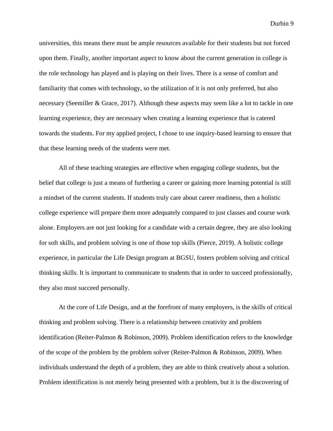universities, this means there must be ample resources available for their students but not forced upon them. Finally, another important aspect to know about the current generation in college is the role technology has played and is playing on their lives. There is a sense of comfort and familiarity that comes with technology, so the utilization of it is not only preferred, but also necessary (Seemiller & Grace, 2017). Although these aspects may seem like a lot to tackle in one learning experience, they are necessary when creating a learning experience that is catered towards the students. For my applied project, I chose to use inquiry-based learning to ensure that that these learning needs of the students were met.

All of these teaching strategies are effective when engaging college students, but the belief that college is just a means of furthering a career or gaining more learning potential is still a mindset of the current students. If students truly care about career readiness, then a holistic college experience will prepare them more adequately compared to just classes and course work alone. Employers are not just looking for a candidate with a certain degree, they are also looking for soft skills, and problem solving is one of those top skills (Pierce, 2019). A holistic college experience, in particular the Life Design program at BGSU, fosters problem solving and critical thinking skills. It is important to communicate to students that in order to succeed professionally, they also must succeed personally.

At the core of Life Design, and at the forefront of many employers, is the skills of critical thinking and problem solving. There is a relationship between creativity and problem identification (Reiter-Palmon & Robinson, 2009). Problem identification refers to the knowledge of the scope of the problem by the problem solver (Reiter-Palmon & Robinson, 2009). When individuals understand the depth of a problem, they are able to think creatively about a solution. Problem identification is not merely being presented with a problem, but it is the discovering of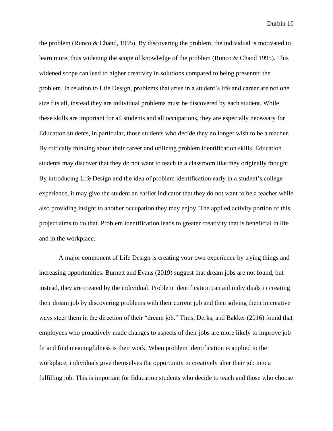the problem (Runco & Chand, 1995). By discovering the problem, the individual is motivated to learn more, thus widening the scope of knowledge of the problem (Runco & Chand 1995). This widened scope can lead to higher creativity in solutions compared to being presented the problem. In relation to Life Design, problems that arise in a student's life and career are not one size fits all, instead they are individual problems must be discovered by each student. While these skills are important for all students and all occupations, they are especially necessary for Education students, in particular, those students who decide they no longer wish to be a teacher. By critically thinking about their career and utilizing problem identification skills, Education students may discover that they do not want to teach in a classroom like they originally thought. By introducing Life Design and the idea of problem identification early in a student's college experience, it may give the student an earlier indicator that they do not want to be a teacher while also providing insight to another occupation they may enjoy. The applied activity portion of this project aims to do that. Problem identification leads to greater creativity that is beneficial in life and in the workplace.

A major component of Life Design is creating your own experience by trying things and increasing opportunities. Burnett and Evans (2019) suggest that dream jobs are not found, but instead, they are created by the individual. Problem identification can aid individuals in creating their dream job by discovering problems with their current job and then solving them in creative ways steer them in the direction of their "dream job." Tims, Derks, and Bakker (2016) found that employees who proactively made changes to aspects of their jobs are more likely to improve job fit and find meaningfulness is their work. When problem identification is applied to the workplace, individuals give themselves the opportunity to creatively alter their job into a fulfilling job. This is important for Education students who decide to teach and those who choose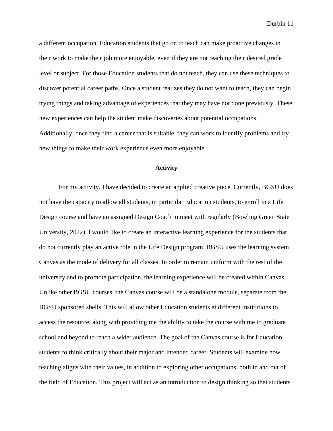a different occupation. Education students that go on to teach can make proactive changes in their work to make their job more enjoyable, even if they are not teaching their desired grade level or subject. For those Education students that do not teach, they can use these techniques to discover potential career paths. Once a student realizes they do not want to teach, they can begin trying things and taking advantage of experiences that they may have not done previously. These new experiences can help the student make discoveries about potential occupations. Additionally, once they find a career that is suitable, they can work to identify problems and try

new things to make their work experience even more enjoyable.

## **Activity**

For my activity, I have decided to create an applied creative piece. Currently, BGSU does not have the capacity to allow all students, in particular Education students, to enroll in a Life Design course and have an assigned Design Coach to meet with regularly (Bowling Green State University, 2022). I would like to create an interactive learning experience for the students that do not currently play an active role in the Life Design program. BGSU uses the learning system Canvas as the mode of delivery for all classes. In order to remain uniform with the rest of the university and to promote participation, the learning experience will be created within Canvas. Unlike other BGSU courses, the Canvas course will be a standalone module, separate from the BGSU sponsored shells. This will allow other Education students at different institutions to access the resource, along with providing me the ability to take the course with me to graduate school and beyond to reach a wider audience. The goal of the Canvas course is for Education students to think critically about their major and intended career. Students will examine how teaching aligns with their values, in addition to exploring other occupations, both in and out of the field of Education. This project will act as an introduction to design thinking so that students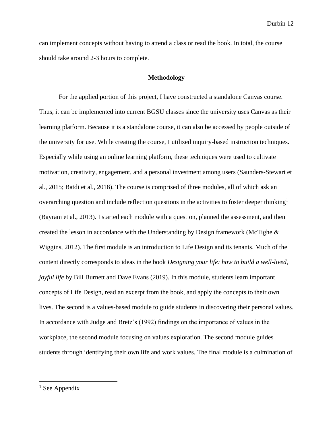can implement concepts without having to attend a class or read the book. In total, the course should take around 2-3 hours to complete.

## **Methodology**

For the applied portion of this project, I have constructed a standalone Canvas course. Thus, it can be implemented into current BGSU classes since the university uses Canvas as their learning platform. Because it is a standalone course, it can also be accessed by people outside of the university for use. While creating the course, I utilized inquiry-based instruction techniques. Especially while using an online learning platform, these techniques were used to cultivate motivation, creativity, engagement, and a personal investment among users (Saunders-Stewart et al., 2015; Batdi et al., 2018). The course is comprised of three modules, all of which ask an overarching question and include reflection questions in the activities to foster deeper thinking<sup>1</sup> (Bayram et al., 2013). I started each module with a question, planned the assessment, and then created the lesson in accordance with the Understanding by Design framework (McTighe  $\&$ Wiggins, 2012). The first module is an introduction to Life Design and its tenants. Much of the content directly corresponds to ideas in the book *Designing your life: how to build a well-lived, joyful life* by Bill Burnett and Dave Evans (2019). In this module, students learn important concepts of Life Design, read an excerpt from the book, and apply the concepts to their own lives. The second is a values-based module to guide students in discovering their personal values. In accordance with Judge and Bretz's (1992) findings on the importance of values in the workplace, the second module focusing on values exploration. The second module guides students through identifying their own life and work values. The final module is a culmination of

 $<sup>1</sup>$  See Appendix</sup>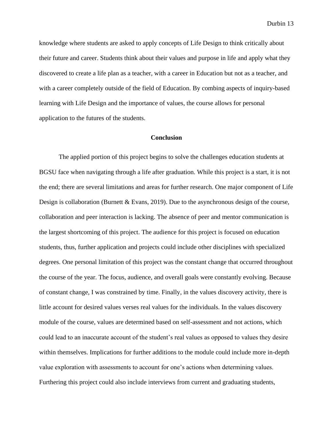knowledge where students are asked to apply concepts of Life Design to think critically about their future and career. Students think about their values and purpose in life and apply what they discovered to create a life plan as a teacher, with a career in Education but not as a teacher, and with a career completely outside of the field of Education. By combing aspects of inquiry-based learning with Life Design and the importance of values, the course allows for personal application to the futures of the students.

### **Conclusion**

The applied portion of this project begins to solve the challenges education students at BGSU face when navigating through a life after graduation. While this project is a start, it is not the end; there are several limitations and areas for further research. One major component of Life Design is collaboration (Burnett  $& Evans, 2019$ ). Due to the asynchronous design of the course, collaboration and peer interaction is lacking. The absence of peer and mentor communication is the largest shortcoming of this project. The audience for this project is focused on education students, thus, further application and projects could include other disciplines with specialized degrees. One personal limitation of this project was the constant change that occurred throughout the course of the year. The focus, audience, and overall goals were constantly evolving. Because of constant change, I was constrained by time. Finally, in the values discovery activity, there is little account for desired values verses real values for the individuals. In the values discovery module of the course, values are determined based on self-assessment and not actions, which could lead to an inaccurate account of the student's real values as opposed to values they desire within themselves. Implications for further additions to the module could include more in-depth value exploration with assessments to account for one's actions when determining values. Furthering this project could also include interviews from current and graduating students,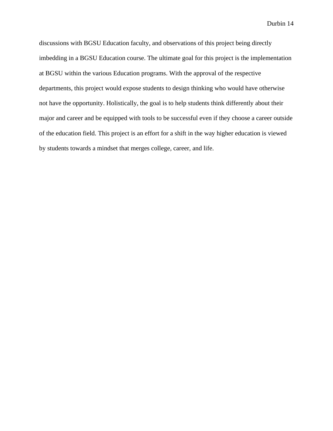discussions with BGSU Education faculty, and observations of this project being directly imbedding in a BGSU Education course. The ultimate goal for this project is the implementation at BGSU within the various Education programs. With the approval of the respective departments, this project would expose students to design thinking who would have otherwise not have the opportunity. Holistically, the goal is to help students think differently about their major and career and be equipped with tools to be successful even if they choose a career outside of the education field. This project is an effort for a shift in the way higher education is viewed by students towards a mindset that merges college, career, and life.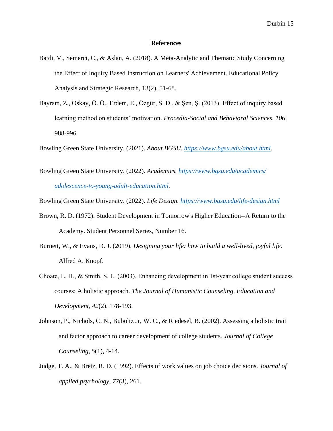#### **References**

- Batdi, V., Semerci, C., & Aslan, A. (2018). A Meta-Analytic and Thematic Study Concerning the Effect of Inquiry Based Instruction on Learners' Achievement. Educational Policy Analysis and Strategic Research, 13(2), 51-68.
- Bayram, Z., Oskay, Ö. Ö., Erdem, E., Özgür, S. D., & Şen, Ş. (2013). Effect of inquiry based learning method on students' motivation. *Procedia-Social and Behavioral Sciences*, *106*, 988-996.

Bowling Green State University. (2021). *About BGSU. [https://www.bgsu.edu/about.html.](https://www.bgsu.edu/about.html)* 

Bowling Green State University. (2022). *Academics. [https://www.bgsu.edu/academics/](https://www.bgsu.edu/academics/%20adolescence-to-young-adult-education.html)  [adolescence-to-young-adult-education.html.](https://www.bgsu.edu/academics/%20adolescence-to-young-adult-education.html)* 

Bowling Green State University. (2022). *Life Design.<https://www.bgsu.edu/life-design.html>*

- Brown, R. D. (1972). Student Development in Tomorrow's Higher Education--A Return to the Academy. Student Personnel Series, Number 16.
- Burnett, W., & Evans, D. J. (2019). *Designing your life: how to build a well-lived, joyful life*. Alfred A. Knopf.
- Choate, L. H., & Smith, S. L. (2003). Enhancing development in 1st‐year college student success courses: A holistic approach. *The Journal of Humanistic Counseling, Education and Development*, *42*(2), 178-193.
- Johnson, P., Nichols, C. N., Buboltz Jr, W. C., & Riedesel, B. (2002). Assessing a holistic trait and factor approach to career development of college students. *Journal of College Counseling*, *5*(1), 4-14.
- Judge, T. A., & Bretz, R. D. (1992). Effects of work values on job choice decisions. *Journal of applied psychology*, *77*(3), 261.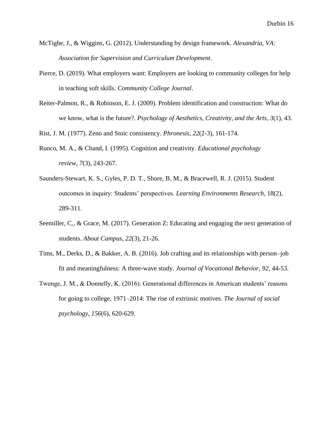- McTighe, J., & Wiggins, G. (2012). Understanding by design framework. *Alexandria, VA: Association for Supervision and Curriculum Development*.
- Pierce, D. (2019). What employers want: Employers are looking to community colleges for help in teaching soft skills. *Community College Journal*.
- Reiter-Palmon, R., & Robinson, E. J. (2009). Problem identification and construction: What do we know, what is the future?. *Psychology of Aesthetics, Creativity, and the Arts*, *3*(1), 43.

Rist, J. M. (1977). Zeno and Stoic consistency. *Phronesis*, *22*(2-3), 161-174.

- Runco, M. A., & Chand, I. (1995). Cognition and creativity. *Educational psychology review*, *7*(3), 243-267.
- Saunders-Stewart, K. S., Gyles, P. D. T., Shore, B. M., & Bracewell, R. J. (2015). Student outcomes in inquiry: Students' perspectives. *Learning Environments Research*, 18(2), 289-311.
- Seemiller, C., & Grace, M. (2017). Generation Z: Educating and engaging the next generation of students. *About Campus*, *22*(3), 21-26.
- Tims, M., Derks, D., & Bakker, A. B. (2016). Job crafting and its relationships with person–job fit and meaningfulness: A three-wave study. *Journal of Vocational Behavior*, *92*, 44-53.
- Twenge, J. M., & Donnelly, K. (2016). Generational differences in American students' reasons for going to college, 1971–2014: The rise of extrinsic motives. *The Journal of social psychology*, *156*(6), 620-629.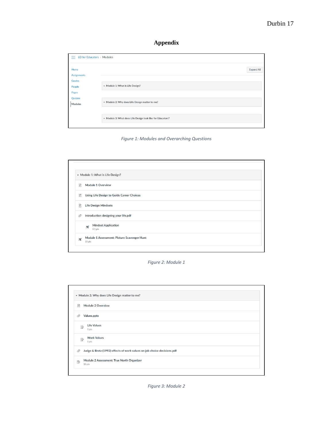# **Appendix**

| LD for Educators > Modules<br>$=$              |                                                            |  |  |
|------------------------------------------------|------------------------------------------------------------|--|--|
| Home<br><b>Assignments</b><br>Grades<br>People | Expand All<br>Module 1: What is Life Design?               |  |  |
| Pages<br>Quizzes<br>Modules                    | > Module 2: Why does Life Design matter to me?             |  |  |
|                                                | > Module 3: What does Life Design look like for Educators? |  |  |

*Figure 1: Modules and Overarching Questions*

|                            | • Module 1: What is Life Design?                          |  |
|----------------------------|-----------------------------------------------------------|--|
| 目                          | Module 1 Overview                                         |  |
| 目                          | Using Life Design to Guide Career Choices                 |  |
| P                          | <b>Life Design Mindsets</b>                               |  |
| O)                         | Introduction designing your life.pdf                      |  |
|                            | <b>Mindset Application</b><br>$\mathbb{Z}^2$<br>$2.5$ pts |  |
| $\mathbf{z}^{\mathcal{G}}$ | Module 1 Assessment; Picture Scavenger Hunt<br>15 pts     |  |

#### *Figure 2: Module 1*

| 圕            | Module 2 Overview                                                       |
|--------------|-------------------------------------------------------------------------|
| O)           | Values.pptx                                                             |
| 國            | <b>Life Values</b><br>1 pts                                             |
| $\mathbb{R}$ | <b>Work Values</b><br>1 pts                                             |
| ◎            | Judge & Bretz (1992) effects of work values on job choice decisions.pdf |